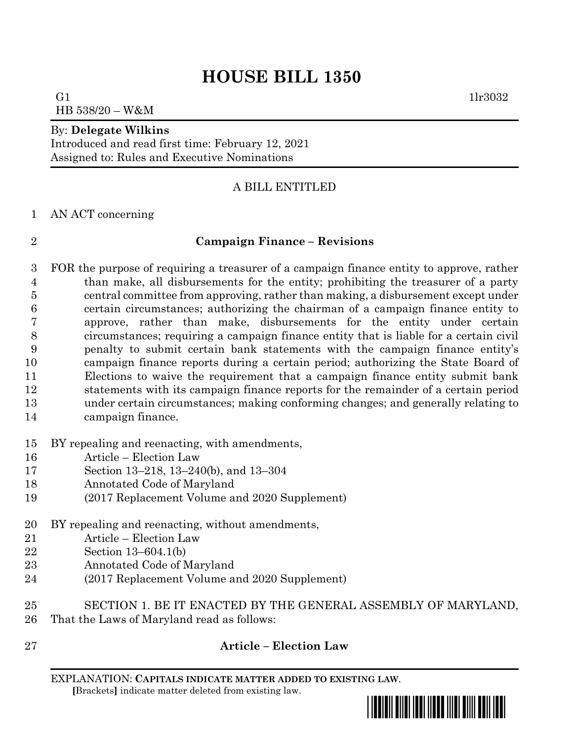# **HOUSE BILL 1350**

G1  $1\text{lr}3032$ HB 538/20 – W&M

#### By: **Delegate Wilkins**

Introduced and read first time: February 12, 2021 Assigned to: Rules and Executive Nominations

# A BILL ENTITLED

#### AN ACT concerning

## **Campaign Finance – Revisions**

 FOR the purpose of requiring a treasurer of a campaign finance entity to approve, rather than make, all disbursements for the entity; prohibiting the treasurer of a party central committee from approving, rather than making, a disbursement except under certain circumstances; authorizing the chairman of a campaign finance entity to approve, rather than make, disbursements for the entity under certain circumstances; requiring a campaign finance entity that is liable for a certain civil penalty to submit certain bank statements with the campaign finance entity's campaign finance reports during a certain period; authorizing the State Board of Elections to waive the requirement that a campaign finance entity submit bank statements with its campaign finance reports for the remainder of a certain period under certain circumstances; making conforming changes; and generally relating to campaign finance.

## BY repealing and reenacting, with amendments,

- Article Election Law
- Section 13–218, 13–240(b), and 13–304
- Annotated Code of Maryland
- (2017 Replacement Volume and 2020 Supplement)
- BY repealing and reenacting, without amendments,
- Article Election Law
- Section 13–604.1(b)
- Annotated Code of Maryland
- (2017 Replacement Volume and 2020 Supplement)
- SECTION 1. BE IT ENACTED BY THE GENERAL ASSEMBLY OF MARYLAND, That the Laws of Maryland read as follows:
- 

# **Article – Election Law**

EXPLANATION: **CAPITALS INDICATE MATTER ADDED TO EXISTING LAW**.  **[**Brackets**]** indicate matter deleted from existing law.

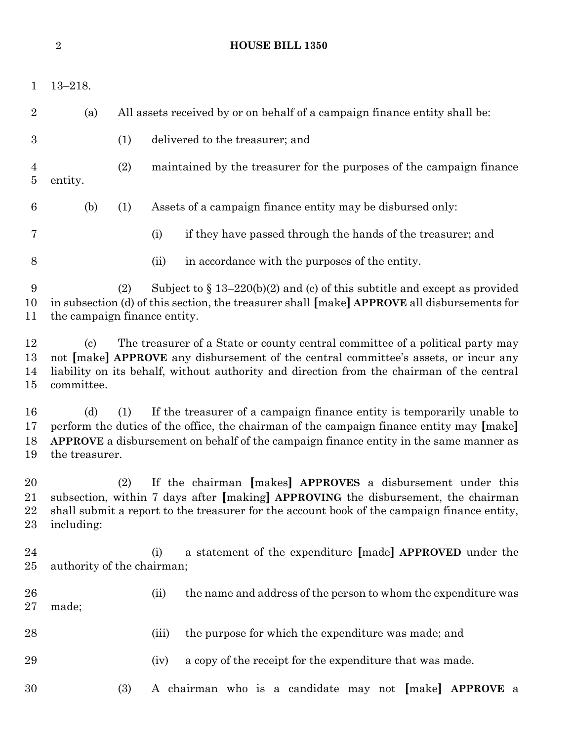|                           | $\sqrt{2}$                               | <b>HOUSE BILL 1350</b>                                                                                                                                                                                                                                             |
|---------------------------|------------------------------------------|--------------------------------------------------------------------------------------------------------------------------------------------------------------------------------------------------------------------------------------------------------------------|
| $\mathbf{1}$              | $13 - 218.$                              |                                                                                                                                                                                                                                                                    |
| $\overline{2}$            | (a)                                      | All assets received by or on behalf of a campaign finance entity shall be:                                                                                                                                                                                         |
| $\boldsymbol{3}$          |                                          | (1)<br>delivered to the treasurer; and                                                                                                                                                                                                                             |
| $\overline{4}$<br>$\bf 5$ | entity.                                  | (2)<br>maintained by the treasurer for the purposes of the campaign finance                                                                                                                                                                                        |
| 6                         | (b)                                      | (1)<br>Assets of a campaign finance entity may be disbursed only:                                                                                                                                                                                                  |
| 7                         |                                          | (i)<br>if they have passed through the hands of the treasurer; and                                                                                                                                                                                                 |
| $8\,$                     |                                          | (ii)<br>in accordance with the purposes of the entity.                                                                                                                                                                                                             |
| 9<br>10<br>11             |                                          | Subject to $\S 13-220(b)(2)$ and (c) of this subtitle and except as provided<br>(2)<br>in subsection (d) of this section, the treasurer shall [make] APPROVE all disbursements for<br>the campaign finance entity.                                                 |
| 12<br>13<br>14<br>15      | $\left( \mathrm{c}\right)$<br>committee. | The treasurer of a State or county central committee of a political party may<br>not [make] APPROVE any disbursement of the central committee's assets, or incur any<br>liability on its behalf, without authority and direction from the chairman of the central  |
| 16<br>17<br>18<br>19      | (d)<br>the treasurer.                    | If the treasurer of a campaign finance entity is temporarily unable to<br>(1)<br>perform the duties of the office, the chairman of the campaign finance entity may [make]<br>APPROVE a disbursement on behalf of the campaign finance entity in the same manner as |
| 20<br>21<br>22<br>23      | including:                               | If the chairman [makes] APPROVES a disbursement under this<br>(2)<br>subsection, within 7 days after [making] APPROVING the disbursement, the chairman<br>shall submit a report to the treasurer for the account book of the campaign finance entity,              |
| 24<br>$25\,$              |                                          | a statement of the expenditure [made] APPROVED under the<br>(i)<br>authority of the chairman;                                                                                                                                                                      |
| 26<br>$27\,$              | made;                                    | the name and address of the person to whom the expenditure was<br>(ii)                                                                                                                                                                                             |
| 28                        |                                          | the purpose for which the expenditure was made; and<br>(iii)                                                                                                                                                                                                       |
| 29                        |                                          | a copy of the receipt for the expenditure that was made.<br>(iv)                                                                                                                                                                                                   |
| 30                        |                                          | (3)<br>A chairman who is a candidate may not [make] APPROVE a                                                                                                                                                                                                      |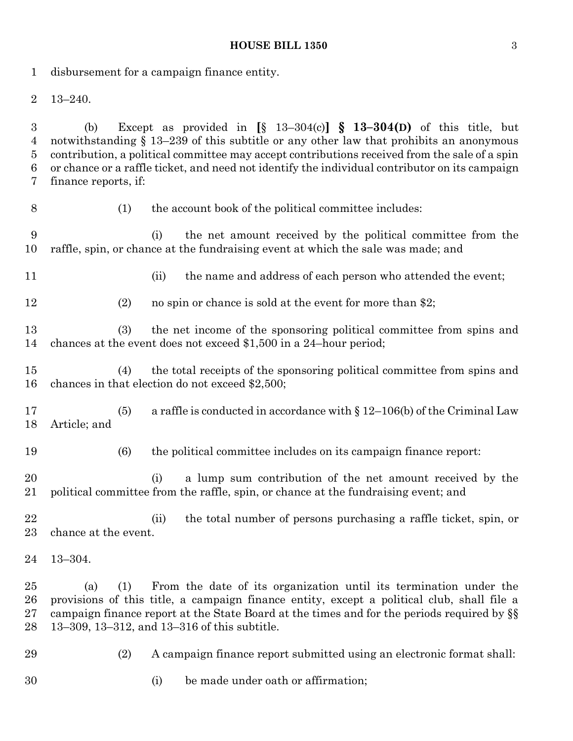#### **HOUSE BILL 1350** 3

disbursement for a campaign finance entity.

13–240.

 (b) Except as provided in **[**§ 13–304(c)**] § 13–304(D)** of this title, but notwithstanding § 13–239 of this subtitle or any other law that prohibits an anonymous contribution, a political committee may accept contributions received from the sale of a spin or chance or a raffle ticket, and need not identify the individual contributor on its campaign finance reports, if:

(1) the account book of the political committee includes:

 (i) the net amount received by the political committee from the raffle, spin, or chance at the fundraising event at which the sale was made; and

11 (ii) the name and address of each person who attended the event;

12 (2) no spin or chance is sold at the event for more than \$2;

 (3) the net income of the sponsoring political committee from spins and chances at the event does not exceed \$1,500 in a 24–hour period;

 (4) the total receipts of the sponsoring political committee from spins and chances in that election do not exceed \$2,500;

 (5) a raffle is conducted in accordance with § 12–106(b) of the Criminal Law Article; and

(6) the political committee includes on its campaign finance report:

 (i) a lump sum contribution of the net amount received by the political committee from the raffle, spin, or chance at the fundraising event; and

 (ii) the total number of persons purchasing a raffle ticket, spin, or chance at the event.

 (a) (1) From the date of its organization until its termination under the provisions of this title, a campaign finance entity, except a political club, shall file a campaign finance report at the State Board at the times and for the periods required by §§ 13–309, 13–312, and 13–316 of this subtitle.

(2) A campaign finance report submitted using an electronic format shall:

(i) be made under oath or affirmation;

13–304.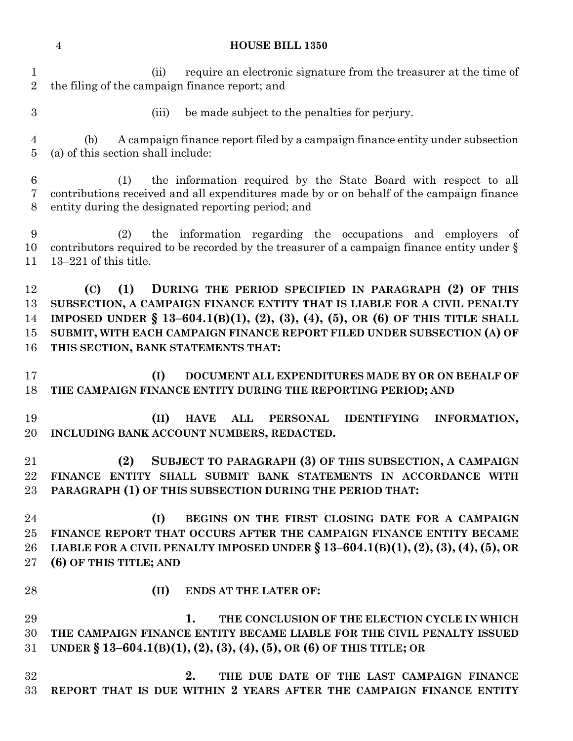|  | <b>HOUSE BILL 1350</b> |
|--|------------------------|

 (ii) require an electronic signature from the treasurer at the time of the filing of the campaign finance report; and

(iii) be made subject to the penalties for perjury.

 (b) A campaign finance report filed by a campaign finance entity under subsection (a) of this section shall include:

 (1) the information required by the State Board with respect to all contributions received and all expenditures made by or on behalf of the campaign finance entity during the designated reporting period; and

 (2) the information regarding the occupations and employers of contributors required to be recorded by the treasurer of a campaign finance entity under § 13–221 of this title.

 **(C) (1) DURING THE PERIOD SPECIFIED IN PARAGRAPH (2) OF THIS SUBSECTION, A CAMPAIGN FINANCE ENTITY THAT IS LIABLE FOR A CIVIL PENALTY IMPOSED UNDER § 13–604.1(B)(1), (2), (3), (4), (5), OR (6) OF THIS TITLE SHALL SUBMIT, WITH EACH CAMPAIGN FINANCE REPORT FILED UNDER SUBSECTION (A) OF THIS SECTION, BANK STATEMENTS THAT:**

 **(I) DOCUMENT ALL EXPENDITURES MADE BY OR ON BEHALF OF THE CAMPAIGN FINANCE ENTITY DURING THE REPORTING PERIOD; AND**

 **(II) HAVE ALL PERSONAL IDENTIFYING INFORMATION, INCLUDING BANK ACCOUNT NUMBERS, REDACTED.**

 **(2) SUBJECT TO PARAGRAPH (3) OF THIS SUBSECTION, A CAMPAIGN FINANCE ENTITY SHALL SUBMIT BANK STATEMENTS IN ACCORDANCE WITH PARAGRAPH (1) OF THIS SUBSECTION DURING THE PERIOD THAT:**

 **(I) BEGINS ON THE FIRST CLOSING DATE FOR A CAMPAIGN FINANCE REPORT THAT OCCURS AFTER THE CAMPAIGN FINANCE ENTITY BECAME LIABLE FOR A CIVIL PENALTY IMPOSED UNDER § 13–604.1(B)(1), (2), (3), (4), (5), OR (6) OF THIS TITLE; AND**

**(II) ENDS AT THE LATER OF:**

 **1. THE CONCLUSION OF THE ELECTION CYCLE IN WHICH THE CAMPAIGN FINANCE ENTITY BECAME LIABLE FOR THE CIVIL PENALTY ISSUED UNDER § 13–604.1(B)(1), (2), (3), (4), (5), OR (6) OF THIS TITLE; OR**

 **2. THE DUE DATE OF THE LAST CAMPAIGN FINANCE REPORT THAT IS DUE WITHIN 2 YEARS AFTER THE CAMPAIGN FINANCE ENTITY**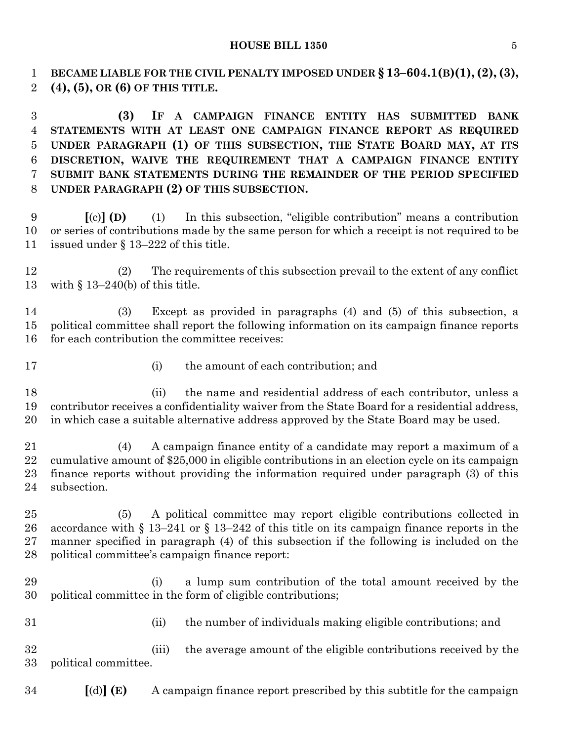**BECAME LIABLE FOR THE CIVIL PENALTY IMPOSED UNDER § 13–604.1(B)(1),(2),(3), (4), (5), OR (6) OF THIS TITLE.**

 **(3) IF A CAMPAIGN FINANCE ENTITY HAS SUBMITTED BANK STATEMENTS WITH AT LEAST ONE CAMPAIGN FINANCE REPORT AS REQUIRED UNDER PARAGRAPH (1) OF THIS SUBSECTION, THE STATE BOARD MAY, AT ITS DISCRETION, WAIVE THE REQUIREMENT THAT A CAMPAIGN FINANCE ENTITY SUBMIT BANK STATEMENTS DURING THE REMAINDER OF THE PERIOD SPECIFIED UNDER PARAGRAPH (2) OF THIS SUBSECTION.**

 **[**(c)**] (D)** (1) In this subsection, "eligible contribution" means a contribution or series of contributions made by the same person for which a receipt is not required to be issued under § 13–222 of this title.

 (2) The requirements of this subsection prevail to the extent of any conflict with § 13–240(b) of this title.

 (3) Except as provided in paragraphs (4) and (5) of this subsection, a political committee shall report the following information on its campaign finance reports for each contribution the committee receives:

- 
- 17 (i) the amount of each contribution; and

 (ii) the name and residential address of each contributor, unless a contributor receives a confidentiality waiver from the State Board for a residential address, in which case a suitable alternative address approved by the State Board may be used.

 (4) A campaign finance entity of a candidate may report a maximum of a cumulative amount of \$25,000 in eligible contributions in an election cycle on its campaign finance reports without providing the information required under paragraph (3) of this subsection.

 (5) A political committee may report eligible contributions collected in accordance with § 13–241 or § 13–242 of this title on its campaign finance reports in the manner specified in paragraph (4) of this subsection if the following is included on the political committee's campaign finance report:

- (i) a lump sum contribution of the total amount received by the political committee in the form of eligible contributions;
- 
- (ii) the number of individuals making eligible contributions; and

 (iii) the average amount of the eligible contributions received by the political committee.

**[**(d)**] (E)** A campaign finance report prescribed by this subtitle for the campaign